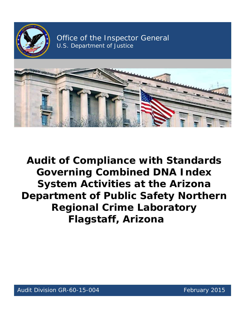

Office of the Inspector General U.S. Department of Justice



 **Audit of Compliance with Standards System Activities at the Arizona Governing Combined DNA Index Department of Public Safety Northern Regional Crime Laboratory Flagstaff, Arizona**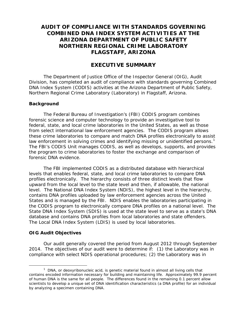# **COMBINED DNA INDEX SYSTEM ACTIVITIES AT THE AUDIT OF COMPLIANCE WITH STANDARDS GOVERNING ARIZONA DEPARTMENT OF PUBLIC SAFETY NORTHERN REGIONAL CRIME LABORATORY FLAGSTAFF, ARIZONA**

# **EXECUTIVE SUMMARY**

The Department of Justice Office of the Inspector General (OIG), Audit Division, has completed an audit of compliance with standards governing Combined DNA Index System (CODIS) activities at the Arizona Department of Public Safety, Northern Regional Crime Laboratory (Laboratory) in Flagstaff, Arizona.

#### **Background**

 from select international law enforcement agencies. The CODIS program allows law enforcement in solving crimes and identifying missing or unidentified persons.<sup>1</sup> The Federal Bureau of Investigation's (FBI) CODIS program combines forensic science and computer technology to provide an investigative tool to federal, state, and local crime laboratories in the United States, as well as those these crime laboratories to compare and match DNA profiles electronically to assist The FBI's CODIS Unit manages CODIS, as well as develops, supports, and provides the program to crime laboratories to foster the exchange and comparison of forensic DNA evidence.

 upward from the local level to the state level and then, if allowable, the national level. The National DNA Index System (NDIS), the highest level in the hierarchy, database and contains DNA profiles from local laboratories and state offenders. The Local DNA Index System (LDIS) is used by local laboratories. The FBI implemented CODIS as a distributed database with hierarchical levels that enables federal, state, and local crime laboratories to compare DNA profiles electronically. The hierarchy consists of three distinct levels that flow contains DNA profiles uploaded by law enforcement agencies across the United States and is managed by the FBI. NDIS enables the laboratories participating in the CODIS program to electronically compare DNA profiles on a national level. The State DNA Index System (SDIS) is used at the state level to serve as a state's DNA

#### **OIG Audit Objectives**

 $\overline{a}$ 

 2014. The objectives of our audit were to determine if: (1) the Laboratory was in Our audit generally covered the period from August 2012 through September compliance with select NDIS operational procedures; (2) the Laboratory was in

<span id="page-1-0"></span> $1$  DNA, or deoxyribonucleic acid, is genetic material found in almost all living cells that contains encoded information necessary for building and maintaining life. Approximately 99.9 percent of human DNA is the same for all people. The differences found in the remaining 0.1 percent allow scientists to develop a unique set of DNA identification characteristics (a DNA profile) for an individual by analyzing a specimen containing DNA.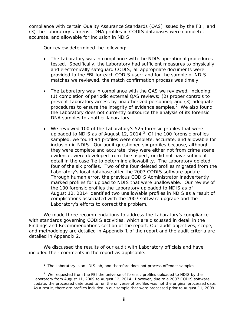accurate, and allowable for inclusion in NDIS. compliance with certain Quality Assurance Standards (QAS) issued by the FBI; and (3) the Laboratory's forensic DNA profiles in CODIS databases were complete,

Our review determined the following:

- and electronically safeguard CODIS; all appropriate documents were provided to the FBI for each CODIS user; and for the sample of NDIS • The Laboratory was in compliance with the NDIS operational procedures tested. Specifically, the Laboratory had sufficient measures to physically matches we reviewed, the match confirmation process was timely.
- The Laboratory was in compliance with the QAS we reviewed, including: procedures to ensure the integrity of evidence samples.<sup>[2](#page-2-0)</sup> We also found (1) completion of periodic external QAS reviews; (2) proper controls to prevent Laboratory access by unauthorized personnel; and (3) adequate the Laboratory does not currently outsource the analysis of its forensic DNA samples to another laboratory.
- uploaded to NDIS as of August 12, 2014. $3$  Of the 100 forensic profiles inclusion in NDIS. Our audit questioned six profiles because, although four of the six profiles. Two of the four deleted profiles migrated from the Laboratory's local database after the 2007 CODIS software update. marked profiles for upload to NDIS that were unallowable. Our review of August 12, 2014 identified two unallowable profiles in NDIS as a result of complications associated with the 2007 software upgrade and the • We reviewed 100 of the Laboratory's 525 forensic profiles that were sampled, we found 94 profiles were complete, accurate, and allowable for they were complete and accurate, they were either not from crime scene evidence, were developed from the suspect, or did not have sufficient detail in the case file to determine allowability. The Laboratory deleted Through human error, the previous CODIS Administrator inadvertently the 100 forensic profiles the Laboratory uploaded to NDIS as of Laboratory's efforts to correct the problem.

 with standards governing CODIS activities, which are discussed in detail in the We made three recommendations to address the Laboratory's compliance Findings and Recommendations section of the report. Our audit objectives, scope, and methodology are detailed in Appendix 1 of the report and the audit criteria are detailed in Appendix 2.

 included their comments in the report as applicable. We discussed the results of our audit with Laboratory officials and have

<span id="page-2-1"></span><span id="page-2-0"></span> $\overline{a}$ 

 $2$  The Laboratory is an LDIS lab, and therefore does not process offender samples.

update, the processed date used to run the universe of profiles was not the original processed date.  $3$  We requested from the FBI the universe of forensic profiles uploaded to NDIS by the Laboratory from August 11, 2009 to August 12, 2014. However, due to a 2007 CODIS software update, the processed date used to run the universe of profiles was not the original processed date.<br>As a result, there are profiles included in our sample that were processed prior to August 11, 2009.<br>ii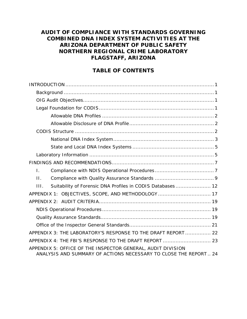# **AUDIT OF COMPLIANCE WITH STANDARDS GOVERNING COMBINED DNA INDEX SYSTEM ACTIVITIES AT THE ARIZONA DEPARTMENT OF PUBLIC SAFETY NORTHERN REGIONAL CRIME LABORATORY FLAGSTAFF, ARIZONA**

# **TABLE OF CONTENTS**

| $\mathbf{I}$ .                                                                                                                  |
|---------------------------------------------------------------------------------------------------------------------------------|
| $\Pi$ .                                                                                                                         |
| Suitability of Forensic DNA Profiles in CODIS Databases 12<br>HL.                                                               |
| APPENDIX 1: OBJECTIVES, SCOPE, AND METHODOLOGY  17                                                                              |
|                                                                                                                                 |
|                                                                                                                                 |
|                                                                                                                                 |
|                                                                                                                                 |
| APPENDIX 3: THE LABORATORY'S RESPONSE TO THE DRAFT REPORT  22                                                                   |
| APPENDIX 4: THE FBI'S RESPONSE TO THE DRAFT REPORT  23                                                                          |
| APPENDIX 5: OFFICE OF THE INSPECTOR GENERAL, AUDIT DIVISION<br>ANALYSIS AND SUMMARY OF ACTIONS NECESSARY TO CLOSE THE REPORT 24 |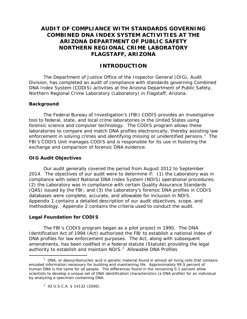# <span id="page-4-0"></span>**AUDIT OF COMPLIANCE WITH STANDARDS GOVERNING COMBINED DNA INDEX SYSTEM ACTIVITIES AT THE ARIZONA DEPARTMENT OF PUBLIC SAFETY NORTHERN REGIONAL CRIME LABORATORY FLAGSTAFF, ARIZONA**

# **INTRODUCTION**

The Department of Justice Office of the Inspector General (OIG), Audit Division, has completed an audit of compliance with standards governing Combined DNA Index System (CODIS) activities at the Arizona Department of Public Safety, Northern Regional Crime Laboratory (Laboratory) in Flagstaff, Arizona.

#### **Background**

 forensic science and computer technology. The CODIS program allows these enforcement in solving crimes and identifying missing or unidentified persons.<sup>[1](#page-4-2)</sup> The The Federal Bureau of Investigation's (FBI) CODIS provides an investigative tool to federal, state, and local crime laboratories in the United States using laboratories to compare and match DNA profiles electronically, thereby assisting law FBI's CODIS Unit manages CODIS and is responsible for its use in fostering the exchange and comparison of forensic DNA evidence.

#### **OIG Audit Objectives**

databases were complete, accurate, and allowable for inclusion in NDIS. databases were complete, accurate, and allowable for inclusion in NDIS.<br>Appendix 1 contains a detailed description of our audit objectives, scope, and methodology. Appendix 2 contains the criteria used to conduct the audit. Our audit generally covered the period from August 2012 to September 2014. The objectives of our audit were to determine if: (1) the Laboratory was in compliance with select National DNA Index System (NDIS) operational procedures; (2) the Laboratory was in compliance with certain Quality Assurance Standards (QAS) issued by the FBI; and (3) the Laboratory's forensic DNA profiles in CODIS

#### <span id="page-4-1"></span>**Legal Foundation for CODIS**

 $\overline{a}$ 

 The FBI's CODIS program began as a pilot project in 1990. The DNA Identification Act of 1994 (Act) authorized the FBI to establish a national index of amendments, has been codified in a federal statute (Statute) providing the legal authority to establish and maintain NDIS.<sup>2</sup> Allowable DNA Profiles DNA profiles for law enforcement purposes. The Act, along with subsequent

<span id="page-4-3"></span><span id="page-4-2"></span>by analyzing a specimen containing DNA.<br> $^{2}$  42 U.S.C.A. § 14132 (2006).  $1$  DNA, or deoxyribonucleic acid is genetic material found in almost all living cells that contains encoded information necessary for building and maintaining life. Approximately 99.9 percent of human DNA is the same for all people. The differences found in the remaining 0.1 percent allow scientists to develop a unique set of DNA identification characteristics (a DNA profile) for an individual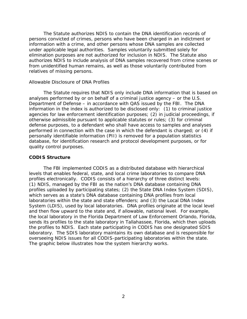<span id="page-5-1"></span> relatives of missing persons. The Statute authorizes NDIS to contain the DNA identification records of persons convicted of crimes, persons who have been charged in an indictment or information with a crime, and other persons whose DNA samples are collected under applicable legal authorities. Samples voluntarily submitted solely for elimination purposes are not authorized for inclusion in NDIS. The Statute also authorizes NDIS to include analysis of DNA samples recovered from crime scenes or from unidentified human remains, as well as those voluntarily contributed from

#### *Allowable Disclosure of DNA Profiles*

 analyses performed by or on behalf of a criminal justice agency – or the U.S. agencies for law enforcement identification purposes; (2) in judicial proceedings, if quality control purposes. The Statute requires that NDIS only include DNA information that is based on Department of Defense – in accordance with QAS issued by the FBI. The DNA information in the index is authorized to be disclosed only: (1) to criminal justice otherwise admissible pursuant to applicable statutes or rules; (3) for criminal defense purposes, to a defendant who shall have access to samples and analyses performed in connection with the case in which the defendant is charged; or (4) if personally identifiable information (PII) is removed for a population statistics database, for identification research and protocol development purposes, or for

#### <span id="page-5-0"></span>**CODIS Structure**

 profiles electronically. CODIS consists of a hierarchy of three distinct levels: which serves as a state's DNA database containing DNA profiles from local System (LDIS), used by local laboratories. DNA profiles originate at the local level and then flow upward to the state and, if allowable, national level. For example, the local laboratory in the Florida Department of Law Enforcement Orlando, Florida, overseeing NDIS issues for all CODIS-participating laboratories within the state.<br>The graphic below illustrates how the system hierarchy works. The FBI implemented CODIS as a distributed database with hierarchical levels that enables federal, state, and local crime laboratories to compare DNA (1) NDIS, managed by the FBI as the nation's DNA database containing DNA profiles uploaded by participating states; (2) the State DNA Index System (SDIS), laboratories within the state and state offenders; and (3) the Local DNA Index sends its profiles to the state laboratory in Tallahassee, Florida, which then uploads the profiles to NDIS. Each state participating in CODIS has one designated SDIS laboratory. The SDIS laboratory maintains its own database and is responsible for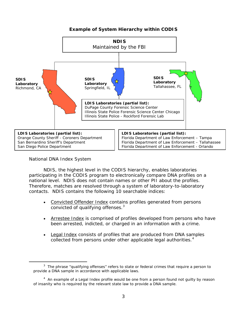# **Example of System Hierarchy within CODIS**

<span id="page-6-0"></span>

#### *National DNA Index System*

<span id="page-6-1"></span>l

 national level. NDIS does not contain names or other PII about the profiles. contacts. NDIS contains the following 10 searchable indices: NDIS, the highest level in the CODIS hierarchy, enables laboratories participating in the CODIS program to electronically compare DNA profiles on a Therefore, matches are resolved through a system of laboratory-to-laboratory

- convicted of qualifying offenses. $3$ • Convicted Offender Index contains profiles generated from persons
- Arrestee Index is comprised of profiles developed from persons who have been arrested, indicted, or charged in an information with a crime.
- Legal Index consists of profiles that are produced from DNA samples collected from persons under other applicable legal authorities.<sup>4</sup>

 $3$  The phrase "qualifying offenses" refers to state or federal crimes that require a person to provide a DNA sample in accordance with applicable laws.

<span id="page-6-2"></span><sup>&</sup>lt;sup>4</sup> An example of a Legal Index profile would be one from a person found not guilty by reason of insanity who is required by the relevant state law to provide a DNA sample.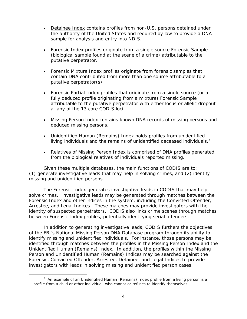- sample for analysis and entry into NDIS. • Detainee Index contains profiles from non-U.S. persons detained under the authority of the United States and required by law to provide a DNA
- Forensic Index profiles originate from a single source Forensic Sample (biological sample found at the scene of a crime) attributable to the putative perpetrator.
- Forensic Mixture Index profiles originate from forensic samples that contain DNA contributed from more than one source attributable to a putative perpetrator(s).
- at any of the 13 core CODIS loci. • Forensic Partial Index profiles that originate from a single source (or a fully deduced profile originating from a mixture) Forensic Sample attributable to the putative perpetrator with either locus or allelic dropout
- deduced missing persons. • Missing Person Index contains known DNA records of missing persons and
- living individuals and the remains of unidentified deceased individuals.<sup>5</sup> • Unidentified Human (Remains) Index holds profiles from unidentified
- Relatives of Missing Person Index is comprised of DNA profiles generated from the biological relatives of individuals reported missing.

Given these multiple databases, the main functions of CODIS are to: Given these multiple databases, the main functions of CODIS are to: (1) generate investigative leads that may help in solving crimes, and (2) identify missing and unidentified persons.

 solve crimes. Investigative leads may be generated through matches between the Forensic Index and other indices in the system, including the Convicted Offender, The Forensic Index generates investigative leads in CODIS that may help Arrestee, and Legal Indices. These matches may provide investigators with the identity of suspected perpetrators. CODIS also links crime scenes through matches between Forensic Index profiles, potentially identifying serial offenders.

 of the FBI's National Missing Person DNA Database program through its ability to investigators with leads in solving missing and unidentified person cases. In addition to generating investigative leads, CODIS furthers the objectives identify missing and unidentified individuals. For instance, those persons may be identified through matches between the profiles in the Missing Person Index and the Unidentified Human (Remains) Index. In addition, the profiles within the Missing Person and Unidentified Human (Remains) Indices may be searched against the Forensic, Convicted Offender, Arrestee, Detainee, and Legal Indices to provide

<span id="page-7-0"></span> $\overline{a}$ 

 profile from a child or other individual, who cannot or refuses to identify themselves.  $5$  An example of an Unidentified Human (Remains) Index profile from a living person is a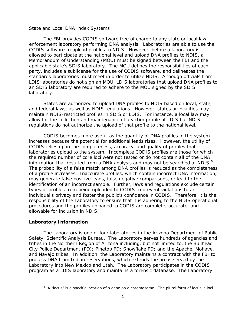#### *State and Local DNA Index Systems*

 CODIS software to upload profiles to NDIS. However, before a laboratory is allowed to participate at the national level and upload DNA profiles to NDIS, a an SDIS laboratory are required to adhere to the MOU signed by the SDIS laboratory. The FBI provides CODIS software free of charge to any state or local law enforcement laboratory performing DNA analysis. Laboratories are able to use the Memorandum of Understanding (MOU) must be signed between the FBI and the applicable state's SDIS laboratory. The MOU defines the responsibilities of each party, includes a sublicense for the use of CODIS software, and delineates the standards laboratories must meet in order to utilize NDIS. Although officials from LDIS laboratories do not sign an MOU, LDIS laboratories that upload DNA profiles to

 and federal laws, as well as NDIS regulations. However, states or localities may maintain NDIS-restricted profiles in SDIS or LDIS. For instance, a local law may regulations do not authorize the upload of that profile to the national level. States are authorized to upload DNA profiles to NDIS based on local, state, allow for the collection and maintenance of a victim profile at LDIS but NDIS

information that resulted from a DNA analysis and may not be searched at NDIS.<sup>6</sup> of a profile increases. Inaccurate profiles, which contain incorrect DNA information, individual's privacy and foster the public's confidence in CODIS. Therefore, it is the allowable for inclusion in NDIS. CODIS becomes more useful as the quantity of DNA profiles in the system increases because the potential for additional leads rises. However, the utility of CODIS relies upon the completeness, accuracy, and quality of profiles that laboratories upload to the system. Incomplete CODIS profiles are those for which the required number of core loci were not tested or do not contain all of the DNA The probability of a false match among DNA profiles is reduced as the completeness may generate false positive leads, false negative comparisons, or lead to the identification of an incorrect sample. Further, laws and regulations exclude certain types of profiles from being uploaded to CODIS to prevent violations to an responsibility of the Laboratory to ensure that it is adhering to the NDIS operational procedures and the profiles uploaded to CODIS are complete, accurate, and

#### <span id="page-8-0"></span>**Laboratory Information**

<span id="page-8-1"></span>l

 Laboratory into New Mexico and Utah. The Laboratory participates in the CODIS program as a LDIS laboratory and maintains a forensic database. The Laboratory The Laboratory is one of four laboratories in the Arizona Department of Public Safety, Scientific Analysis Bureau. The Laboratory serves hundreds of agencies and tribes in the Northern Region of Arizona including, but not limited to, the Bullhead City Police Department (PD); Pinetop PD; Snowflake PD; and the Apache, Mohave, and Navajo tribes. In addition, the Laboratory maintains a contract with the FBI to process DNA from Indian reservations, which extends the areas served by the

 $6$  A "locus" is a specific location of a gene on a chromosome. The plural form of locus is loci.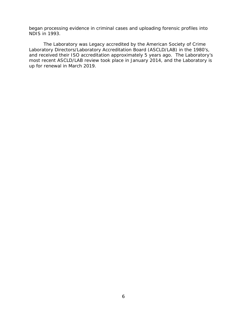began processing evidence in criminal cases and uploading forensic profiles into NDIS in 1993.

 The Laboratory was Legacy accredited by the American Society of Crime up for renewal in March 2019. Laboratory Directors/Laboratory Accreditation Board (ASCLD/LAB) in the 1980's, and received their ISO accreditation approximately 5 years ago. The Laboratory's most recent ASCLD/LAB review took place in January 2014, and the Laboratory is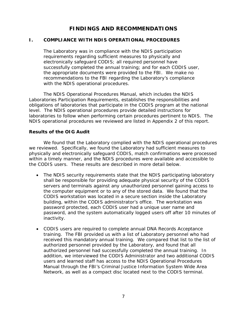# **FINDINGS AND RECOMMENDATIONS**

#### <span id="page-10-1"></span><span id="page-10-0"></span>**1**. **I. COMPLIANCE WITH NDIS OPERATIONAL PROCEDURES**

with the NDIS operational procedures. The Laboratory was in compliance with the NDIS participation requirements regarding sufficient measures to physically and electronically safeguard CODIS; all required personnel have successfully completed the annual training; and for each CODIS user, the appropriate documents were provided to the FBI. We make no recommendations to the FBI regarding the Laboratory's compliance

 NDIS operational procedures we reviewed are listed in Appendix 2 of this report. The NDIS Operational Procedures Manual, which includes the NDIS Laboratories Participation Requirements, establishes the responsibilities and obligations of laboratories that participate in the CODIS program at the national level. The NDIS operational procedures provide detailed instructions for laboratories to follow when performing certain procedures pertinent to NDIS. The

#### **Results of the OIG Audit**

 we reviewed. Specifically, we found the Laboratory had sufficient measures to the CODIS users. These results are described in more detail below. We found that the Laboratory complied with the NDIS operational procedures physically and electronically safeguard CODIS, match confirmations were processed within a timely manner, and the NDIS procedures were available and accessible to

- building, within the CODIS administrator's office. The workstation was • The NDIS security requirements state that the NDIS participating laboratory shall be responsible for providing adequate physical security of the CODIS servers and terminals against any unauthorized personnel gaining access to the computer equipment or to any of the stored data. We found that the CODIS workstation was located in a secure section inside the Laboratory password protected, each CODIS user had a unique user name and password, and the system automatically logged users off after 10 minutes of inactivity.
- training. The FBI provided us with a list of Laboratory personnel who had received this mandatory annual training. We compared that list to the list of authorized personnel provided by the Laboratory, and found that all • CODIS users are required to complete annual DNA Records Acceptance authorized personnel had successfully completed the annual training. In addition, we interviewed the CODIS Administrator and two additional CODIS users and learned staff has access to the NDIS Operational Procedures Manual through the FBI's Criminal Justice Information System Wide Area Network, as well as a compact disc located next to the CODIS terminal.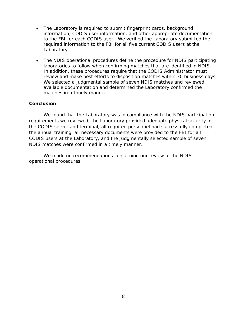- to the FBI for each CODIS user. We verified the Laboratory submitted the required information to the FBI for all five current CODIS users at the • The Laboratory is required to submit fingerprint cards, background information, CODIS user information, and other appropriate documentation Laboratory.
- laboratories to follow when confirming matches that are identified in NDIS. review and make best efforts to disposition matches within 30 business days. The NDIS operational procedures define the procedure for NDIS participating In addition, these procedures require that the CODIS Administrator must We selected a judgmental sample of seven NDIS matches and reviewed available documentation and determined the Laboratory confirmed the matches in a timely manner.

#### **Conclusion**

 NDIS matches were confirmed in a timely manner. We found that the Laboratory was in compliance with the NDIS participation requirements we reviewed, the Laboratory provided adequate physical security of the CODIS server and terminal, all required personnel had successfully completed the annual training, all necessary documents were provided to the FBI for all CODIS users at the Laboratory, and the judgmentally selected sample of seven

We made no recommendations concerning our review of the NDIS operational procedures.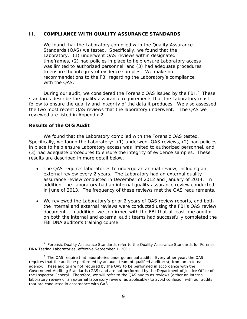#### **II. COMPLIANCE WITH QUALITY ASSURANCE STANDARDS**

 Laboratory: (1) underwent QAS reviews within designated We found that the Laboratory complied with the Quality Assurance Standards (QAS) we tested. Specifically, we found that the timeframes, (2) had policies in place to help ensure Laboratory access was limited to authorized personnel, and (3) had adequate procedures to ensure the integrity of evidence samples. We make no recommendations to the FBI regarding the Laboratory's compliance with the QAS.

During our audit, we considered the Forensic QAS issued by the FBI.<sup>7</sup> These follow to ensure the quality and integrity of the data it produces. We also assessed the two most recent QAS reviews that the laboratory underwent.<sup>[8](#page-12-1)</sup> The QAS we standards describe the quality assurance requirements that the Laboratory must reviewed are listed in Appendix 2.

#### **Results of the OIG Audit**

We found that the Laboratory complied with the Forensic QAS tested. We found that the Laboratory complied with the Forensic QAS tested. Specifically, we found the Laboratory: (1) underwent QAS reviews, (2) had policies (3) had adequate procedures to ensure the integrity of evidence samples. These in place to help ensure Laboratory access was limited to authorized personnel, and results are described in more detail below.

- assurance review conducted in December of 2012 and January of 2014. In in June of 2013. The frequency of these reviews met the QAS requirements. The QAS requires laboratories to undergo an annual review, including an external review every 2 years. The Laboratory had an external quality addition, the Laboratory had an internal quality assurance review conducted
- FBI DNA auditor's training course. • We reviewed the Laboratory's prior 2 years of QAS review reports, and both the internal and external reviews were conducted using the FBI's QAS review document. In addition, we confirmed with the FBI that at least one auditor on both the internal and external audit teams had successfully completed the

 $\overline{a}$ DNA Testing Laboratories, effective September 1, 2011.  $7$  Forensic Quality Assurance Standards refer to the Quality Assurance Standards for Forensic

<span id="page-12-1"></span><span id="page-12-0"></span>DNA Testing Laboratories, effective September 1, 2011.<br><sup>8</sup> The QAS require that laboratories undergo annual audits. Every other year, the QAS that are conducted in accordance with GAS.<br>9 requires that the audit be performed by an audit team of qualified auditor(s), from an external agency. These audits are not required by the QAS to be performed in accordance with the *Government Auditing Standards* (GAS) and are not performed by the Department of Justice Office of the Inspector General. Therefore, we will refer to the QAS audits as reviews (either an internal laboratory review or an external laboratory review, as applicable) to avoid confusion with our audits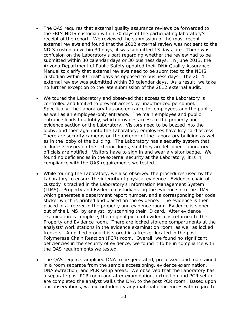- NDIS custodian within 30 days; it was submitted 13 days late. There was external review was submitted within 30 calendar days. As a result, we take no further exception to the late submission of the 2012 external audit. The QAS requires that external quality assurance reviews be forwarded to the FBI's NDIS custodian within 30 days of the participating laboratory's receipt of the report. We reviewed the submission of the most recent external reviews and found that the 2012 external review was not sent to the confusion on the Laboratory's part regarding whether the review had to be submitted within 30 calendar days or 30 business days. In June 2013, the Arizona Department of Public Safety updated their DNA Quality Assurance Manual to clarify that external reviews need to be submitted to the NDIS custodian within 30 "real" days as opposed to business days. The 2014
- We toured the Laboratory and observed that access to the Laboratory is controlled and limited to prevent access by unauthorized personnel. as well as an employee-only entrance. The main employee and public entrance leads to a lobby, which provides access to the property and lobby, and then again into the Laboratory; employees have key card access. as in the lobby of the building. The Laboratory has a security system that officials are notified. Visitors have to sign in and wear a visitor badge. We compliance with the QAS requirements we tested. Specifically, the Laboratory has one entrance for employees and the public, evidence section or the Laboratory. Visitors need to be buzzed into the There are security cameras on the exterior of the Laboratory building as well includes sensors on the exterior doors, so if they are left open Laboratory found no deficiencies in the external security at the Laboratory; it is in
- which generates a department report number, and a corresponding bar code placed in a freezer in the property and evidence room. Evidence is signed out of the LIMS, by analyst, by scanning their ID card. After evidence analysts' work stations in the evidence examination room, as well as locked the QAS requirements we tested. • While touring the Laboratory, we also observed the procedures used by the Laboratory to ensure the integrity of physical evidence. Evidence chain of custody is tracked in the Laboratory's Information Management System (LIMS). Property and Evidence custodians log the evidence into the LIMS, sticker which is printed and placed on the evidence. The evidence is then examination is complete, the original piece of evidence is returned to the Property and Evidence room. There are locked storage compartments at the freezers. Amplified product is stored in a freezer located in the post Polymerase Chain Reaction (PCR) room. Overall, we found no significant deficiencies in the security of evidence; we found it to be in compliance with
- The QAS requires amplified DNA to be generated, processed, and maintained in a room separate from the sample accessioning, evidence examination, DNA extraction, and PCR setup areas. We observed that the Laboratory has a separate post PCR room and after examination, extraction and PCR setup are completed the analyst walks the DNA to the post PCR room. Based upon our observations, we did not identify any material deficiencies with regard to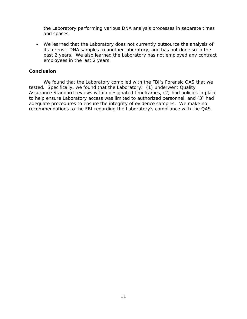and spaces. the Laboratory performing various DNA analysis processes in separate times

 employees in the last 2 years. • We learned that the Laboratory does not currently outsource the analysis of its forensic DNA samples to another laboratory, and has not done so in the past 2 years. We also learned the Laboratory has not employed any contract

#### **Conclusion**

 Assurance Standard reviews within designated timeframes, (2) had policies in place We found that the Laboratory complied with the FBI's Forensic QAS that we tested. Specifically, we found that the Laboratory: (1) underwent Quality to help ensure Laboratory access was limited to authorized personnel, and (3) had adequate procedures to ensure the integrity of evidence samples. We make no recommendations to the FBI regarding the Laboratory's compliance with the QAS.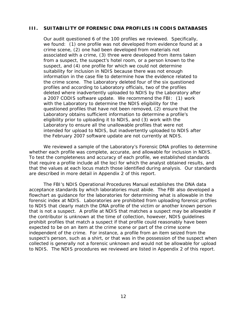#### <span id="page-15-0"></span>**III. SUITABILITY OF FORENSIC DNA PROFILES IN CODIS DATABASES**

 Our audit questioned 6 of the 100 profiles we reviewed. Specifically, we found: (1) one profile was not developed from evidence found at a information in the case file to determine how the evidence related to the crime scene. The Laboratory deleted four of the six questioned deleted where inadvertently uploaded to NDIS by the Laboratory after a 2007 CODIS software update. We recommend the FBI: (1) work the February 2007 software update are not currently at NDIS. crime scene, (2) one had been developed from materials not associated with a crime, (3) three were developed from items taken from a suspect, the suspect's hotel room, or a person known to the suspect, and (4) one profile for which we could not determine suitability for inclusion in NDIS because there was not enough profiles and according to Laboratory officials, two of the profiles with the Laboratory to determine the NDIS eligibility for the questioned profiles that have not been removed, (2) ensure that the Laboratory obtains sufficient information to determine a profile's eligibility prior to uploading it to NDIS, and (3) work with the Laboratory to ensure all the unallowable profiles that were not intended for upload to NDIS, but inadvertently uploaded to NDIS after

whether each profile was complete, accurate, and allowable for inclusion in NDIS. that require a profile include all the loci for which the analyst obtained results, and that the values at each locus match those identified during analysis. Our standards are described in more detail in Appendix 2 of this report. We reviewed a sample of the Laboratory's Forensic DNA profiles to determine To test the completeness and accuracy of each profile, we established standards.

 flowchart as guidance for the laboratories for determining what is allowable in the that is not a suspect. A profile at NDIS that matches a suspect may be allowable if to NDIS. The NDIS procedures we reviewed are listed in Appendix 2 of this report. The FBI's NDIS Operational Procedures Manual establishes the DNA data acceptance standards by which laboratories must abide. The FBI also developed a forensic index at NDIS. Laboratories are prohibited from uploading forensic profiles to NDIS that clearly match the DNA profile of the victim or another known person the contributor is unknown at the time of collection, however, NDIS guidelines prohibit profiles that match a suspect if that profile could reasonably have been expected to be on an item at the crime scene or part of the crime scene independent of the crime. For instance, a profile from an item seized from the suspect's person, such as a shirt, or that was in the possession of the suspect when collected is generally not a forensic unknown and would not be allowable for upload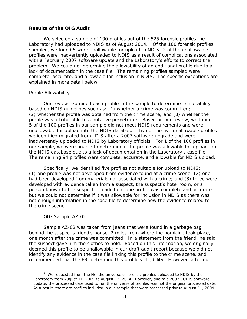#### **Results of the OIG Audit**

Laboratory had uploaded to NDIS as of August 2014. $\textdegree$  Of the 100 forensic profiles sampled, we found 5 were unallowable for upload to NDIS; 2 of the unallowable problem. We could not determine the allowability of an additional profile due to a complete, accurate, and allowable for inclusion in NDIS. The specific exceptions are explained in more detail below. We selected a sample of 100 profiles out of the 525 forensic profiles the profiles were inadvertently uploaded to NDIS as a result of complications associated with a February 2007 software update and the Laboratory's efforts to correct the lack of documentation in the case file. The remaining profiles sampled were

#### *Profile Allowability*

 profile was attributable to a putative perpetrator. Based on our review, we found inadvertently uploaded to NDIS by Laboratory officials. For 1 of the 100 profiles in our sample, we were unable to determine if the profile was allowable for upload into the NDIS database due to a lack of documentation in the Laboratory's case file. Our review examined each profile in the sample to determine its suitability based on NDIS guidelines such as: (1) whether a crime was committed; (2) whether the profile was obtained from the crime scene; and (3) whether the 5 of the 100 profiles in our sample did not meet NDIS requirements and were unallowable for upload into the NDIS database. Two of the five unallowable profiles we identified migrated from LDIS after a 2007 software upgrade and were the NDIS database due to a lack of documentation in the Laboratory's case file.<br>The remaining 94 profiles were complete, accurate, and allowable for NDIS upload.<br>Specifically, we identified five profiles not suitable for u

Specifically, we identified five profiles not suitable for upload to NDIS: person known to the suspect. In addition, one profile was complete and accurate but we could not determine if it was allowable for inclusion in NDIS as there was the crime scene. (1) one profile was not developed from evidence found at a crime scene; (2) one had been developed from materials not associated with a crime; and (3) three were developed with evidence taken from a suspect, the suspect's hotel room, or a not enough information in the case file to determine how the evidence related to

#### *OIG Sample AZ-02*

<span id="page-16-0"></span> $\overline{a}$ 

 the suspect gave him the clothes to hold. Based on this information, we originally recommended that the FBI determine this profile's eligibility. However, after our Sample AZ-02 was taken from jeans that were found in a garbage bag behind the suspect's friend's house, 2 miles from where the homicide took place, one month after the crime was committed. In a statement from the friend, he said deemed this profile to be unallowable in our draft audit report because we did not identify any evidence in the case file linking this profile to the crime scene, and

 update, the processed date used to run the universe of profiles was not the original processed date. As a result, there are profiles included in our sample that were processed prior to August 11, 2009.<br>13 <sup>9</sup> We requested from the FBI the universe of forensic profiles uploaded to NDIS by the Laboratory from August 11, 2009 to August 12, 2014. However, due to a 2007 CODIS software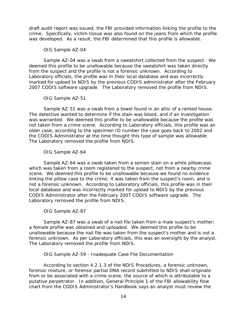was developed. As a result, the FBI determined that this profile is allowable. draft audit report was issued, the FBI provided information linking the profile to the crime. Specifically, victim tissue was also found on the jeans from which the profile

#### *OIG Sample AZ-04*

 from the suspect and the profile is not a forensic unknown. According to marked for upload to NDIS by the previous CODIS administrator after the February Sample AZ-04 was a swab from a sweatshirt collected from the suspect. We deemed this profile to be unallowable because the sweatshirt was taken directly Laboratory officials, the profile was in their local database and was incorrectly 2007 CODIS software upgrade. The Laboratory removed the profile from NDIS.

## *OIG Sample AZ-51*

 was warranted. We deemed this profile to be unallowable because the profile was the CODIS Administrator at the time thought this type of sample was allowable.<br>The Laboratory removed the profile from NDIS. Sample AZ-51 was a swab from a towel found in an attic of a rented house. The detective wanted to determine if the stain was blood, and if an investigation not taken from a crime scene. According to Laboratory officials, this profile was an older case, according to the specimen ID number the case goes back to 2002 and

## *OIG Sample AZ-64*

 which was taken from a room registered to the suspect, not from a nearby crime scene. We deemed this profile to be unallowable because we found no evidence linking the pillow case to the crime; it was taken from the suspect's room, and is not a forensic unknown. According to Laboratory officials, this profile was in their Laboratory removed the profile from NDIS. Sample AZ-64 was a swab taken from a semen stain on a white pillowcase, local database and was incorrectly marked for upload to NDIS by the previous CODIS Administrator after the February 2007 CODIS software upgrade. The

## *OIG Sample AZ-87*

 unallowable because the nail file was taken from the suspect's mother and is not a forensic unknown. As per Laboratory officials, this was an oversight by the analyst. Sample AZ-87 was a swab of a nail file taken from a male suspect's mother; a female profile was obtained and uploaded. We deemed this profile to be The Laboratory removed the profile from NDIS.

## *OIG Sample AZ-59 - Inadequate Case File Documentation*

 putative perpetrator. In addition, General Principle 1 of the FBI allowability flow According to section 4.2.1.3 of the NDIS Procedures, a forensic unknown, forensic mixture, or forensic partial DNA record submitted to NDIS shall originate from or be associated with a crime scene, the source of which is attributable to a chart from the CODIS Administrator's Handbook says an analyst must review the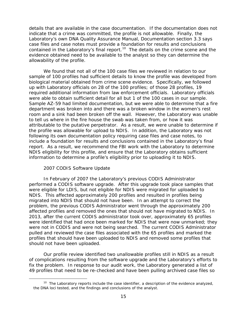contained in the Laboratory's final report.<sup>[10](#page-18-0)</sup> The details on the crime scene and the allowability of the profile. details that are available in the case documentation. If the documentation does not indicate that a crime was committed, the profile is not allowable. Finally, the Laboratory's own DNA Quality Assurance Manual, Documentation section 3.3 says case files and case notes must provide a foundation for results and conclusions evidence obtained need to be available to the analyst so they can determine the

were able to obtain sufficient detail for all but 1 of the 100 cases in our sample. attributable to the putative perpetrator. As a result, we were unable to determine if report. As a result, we recommend the FBI work with the Laboratory to determine information to determine a profile's eligibility prior to uploading it to NDIS. We found that not all of the 100 case files we reviewed in relation to our sample of 100 profiles had sufficient details to know the profile was developed from biological material obtained from crime scene evidence. Specifically, we followed up with Laboratory officials on 28 of the 100 profiles; of those 28 profiles, 19 required additional information from law enforcement officials. Laboratory officials Sample AZ-59 had limited documentation, but we were able to determine that a fire department was broken into and there was a broken window in the women's rest room and a sink had been broken off the wall. However, the Laboratory was unable to tell us where in the fire house the swab was taken from, or how it was the profile was allowable for upload to NDIS. In addition, the Laboratory was not following its own documentation policy requiring case files and case notes, to include a foundation for results and conclusions contained in the Laboratory's final NDIS eligibility for this profile, and ensure that the Laboratory obtains sufficient

### *2007 CODIS Software Update*

<span id="page-18-0"></span> $\overline{a}$ 

 performed a CODIS software upgrade. After this upgrade took place samples that migrated into NDIS that should not have been. In an attempt to correct the 2013, after the current CODIS administrator took over, approximately 65 profiles In February of 2007 the Laboratory's previous CODIS Administrator were eligible for LDIS, but not eligible for NDIS were migrated for uploaded to NDIS. This affected approximately 200 profiles and resulted in profiles being problem, the previous CODIS Administrator went through the approximately 200 affected profiles and removed the ones that should not have migrated to NDIS. In were identified that had once been marked for NDIS that were now unmarked; they were not in CODIS and were not being searched. The current CODIS Administrator pulled and reviewed the case files associated with the 65 profiles and marked the profiles that should have been uploaded to NDIS and removed some profiles that should not have been uploaded.

 fix the problem. In response to our audit work, the Laboratory generated a list of Our profile review identified two unallowable profiles still in NDIS as a result of complications resulting from the software upgrade and the Laboratory's efforts to 49 profiles that need to be re-checked and have been pulling archived case files so

the DNA loci tested, and the findings and conclusions of the analyst.<br>15  $10$  The Laboratory reports include the case identifier, a description of the evidence analyzed,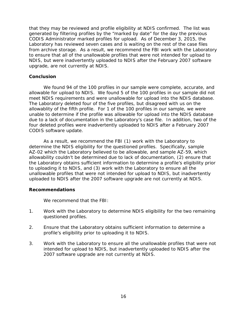from archive storage. As a result, we recommend the FBI work with the Laboratory to ensure that all of the unallowable profiles that were not intended for upload to NDIS, but were inadvertently uploaded to NDIS after the February 2007 software that they may be reviewed and profile eligibility at NDIS confirmed. The list was generated by filtering profiles by the "marked by date" for the day the previous CODIS Administrator marked profiles for upload. As of December 3, 2015, the Laboratory has reviewed seven cases and is waiting on the rest of the case files upgrade, are not currently at NDIS.

#### **Conclusion**

 allowable for upload to NDIS. We found 5 of the 100 profiles in our sample did not We found 94 of the 100 profiles in our sample were complete, accurate, and meet NDIS requirements and were unallowable for upload into the NDIS database. The Laboratory deleted four of the five profiles, but disagreed with us on the allowablity of the fifth profile. For 1 of the 100 profiles in our sample, we were unable to determine if the profile was allowable for upload into the NDIS database due to a lack of documentation in the Laboratory's case file. In addition, two of the four deleted profiles were inadvertently uploaded to NDIS after a February 2007 CODIS software update.

 uploaded to NDIS after the 2007 software upgrade are not currently at NDIS. As a result, we recommend the FBI (1) work with the Laboratory to determine the NDIS eligibility for the questioned profiles. Specifically, sample AZ-02 which the Laboratory believed to be allowable, and sample AZ-59, which allowability couldn't be determined due to lack of documentation, (2) ensure that the Laboratory obtains sufficient information to determine a profile's eligibility prior to uploading it to NDIS, and (3) work with the Laboratory to ensure all the unallowable profiles that were not intended for upload to NDIS, but inadvertently

#### **Recommendations**

We recommend that the FBI:

- 1. Work with the Laboratory to determine NDIS eligibility for the two remaining questioned profiles.
- profile's eligibility prior to uploading it to NDIS. 2. Ensure that the Laboratory obtains sufficient information to determine a
- <span id="page-19-0"></span>3. Work with the Laboratory to ensure all the unallowable profiles that were not intended for upload to NDIS, but inadvertently uploaded to NDIS after the 2007 software upgrade are not currently at NDIS.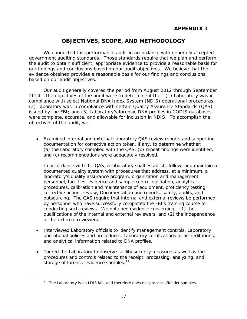# **OBJECTIVES, SCOPE, AND METHODOLOGY**

based on our audit objectives. We conducted this performance audit in accordance with generally accepted government auditing standards. Those standards require that we plan and perform the audit to obtain sufficient, appropriate evidence to provide a reasonable basis for our findings and conclusions based on our audit objectives. We believe that the evidence obtained provides a reasonable basis for our findings and conclusions

Our audit generally covered the period from August 2012 through September 2014. The objectives of the audit were to determine if the: (1) Laboratory was in compliance with select National DNA Index System (NDIS) operational procedures; (2) Laboratory was in compliance with certain Quality Assurance Standards (QAS) issued by the FBI; and (3) Laboratory's forensic DNA profiles in CODIS databases were complete, accurate, and allowable for inclusion in NDIS. To accomplish the objectives of the audit, we:

documentation for corrective action taken, if any, to determine whether: documentation for corrective action taken, if any, to determine whether:<br>(a) the Laboratory complied with the QAS, (b) repeat findings were identified, and (c) recommendations were adequately resolved. • Examined internal and external Laboratory QAS review reports and supporting

 documented quality system with procedures that address, at a minimum, a procedures, calibration and maintenance of equipment, proficiency testing, corrective action, review, Documentation and reports, safety, audits, and conducting such reviews. We obtained evidence concerning: (1) the of the external reviewers. In accordance with the QAS, a laboratory shall establish, follow, and maintain a laboratory's quality assurance program, organization and management, personnel, facilities, evidence and sample control validation, analytical outsourcing. The QAS require that internal and external reviews be performed by personnel who have successfully completed the FBI's training course for qualifications of the internal and external reviewers, and (2) the independence

- and analytical information related to DNA profiles. • Interviewed Laboratory officials to identify management controls, Laboratory operational policies and procedures, Laboratory certifications or accreditations,
- storage of forensic evidence samples.<sup>11</sup> • Toured the Laboratory to observe facility security measures as well as the procedures and controls related to the receipt, processing, analyzing, and

<span id="page-20-0"></span> $\overline{a}$ 

 $11$  The Laboratory is an LDIS lab, and therefore does not process offender samples.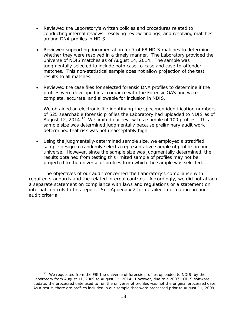- among DNA profiles in NDIS. Reviewed the Laboratory's written policies and procedures related to conducting internal reviews, resolving review findings, and resolving matches
- Reviewed supporting documentation for 7 of 68 NDIS matches to determine whether they were resolved in a timely manner. The Laboratory provided the universe of NDIS matches as of August 14, 2014. The sample was matches. This non-statistical sample does not allow projection of the test results to all matches. judgmentally selected to include both case-to-case and case-to-offender
- profiles were developed in accordance with the Forensic QAS and were complete, accurate, and allowable for inclusion in NDIS. Reviewed the case files for selected forensic DNA profiles to determine if the

August [12](#page-21-1), 2014.<sup>12</sup> We limited our review to a sample of 100 profiles. This We obtained an electronic file identifying the specimen identification numbers of 525 searchable forensic profiles the Laboratory had uploaded to NDIS as of sample size was determined judgmentally because preliminary audit work determined that risk was not unacceptably high.

• Using the judgmentally-determined sample size, we employed a stratified universe. However, since the sample size was judgmentally determined, the projected to the universe of profiles from which the sample was selected. sample design to randomly select a representative sample of profiles in our results obtained from testing this limited sample of profiles may not be

 required standards and the related internal controls. Accordingly, we did not attach audit criteria. The objectives of our audit concerned the Laboratory's compliance with a separate statement on compliance with laws and regulations or a statement on internal controls to this report. See Appendix 2 for detailed information on our

<span id="page-21-1"></span> $\overline{a}$ 

<span id="page-21-0"></span> update, the processed date used to run the universe of profiles was not the original processed date. audit criteria.<br>12 We requested from the FBI the universe of forensic profiles uploaded to NDIS, by the Laboratory from August 11, 2009 to August 12, 2014. However, due to a 2007 CODIS software As a result, there are profiles included in our sample that were processed prior to August 11, 2009.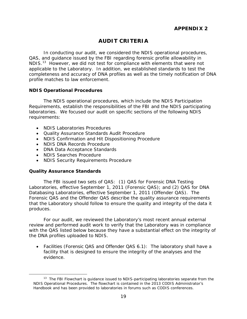# **AUDIT CRITERIA**

 QAS, and guidance issued by the FBI regarding forensic profile allowability in NDIS.<sup>[13](#page-22-2)</sup> However, we did not test for compliance with elements that were not In conducting our audit, we considered the NDIS operational procedures, applicable to the Laboratory. In addition, we established standards to test the completeness and accuracy of DNA profiles as well as the timely notification of DNA profile matches to law enforcement.

#### <span id="page-22-0"></span>**NDIS Operational Procedures**

 requirements: The NDIS operational procedures, which include the NDIS Participation Requirements, establish the responsibilities of the FBI and the NDIS participating laboratories. We focused our audit on specific sections of the following NDIS

- NDIS Laboratories Procedures
- Quality Assurance Standards Audit Procedure
- NDIS Confirmation and Hit Dispositioning Procedure
- NDIS DNA Records Procedure
- DNA Data Acceptance Standards
- • NDIS Searches Procedure
- NDIS Security Requirements Procedure

#### <span id="page-22-1"></span>**Quality Assurance Standards**

<span id="page-22-2"></span> $\overline{a}$ 

produces. The FBI issued two sets of QAS: (1) QAS for Forensic DNA Testing Laboratories, effective September 1, 2011 (Forensic QAS); and (2) QAS for DNA Databasing Laboratories, effective September 1, 2011 (Offender QAS). The Forensic QAS and the Offender QAS describe the quality assurance requirements that the Laboratory should follow to ensure the quality and integrity of the data it

 produces. For our audit, we reviewed the Laboratory's most recent annual external review and performed audit work to verify that the Laboratory was in compliance the DNA profiles uploaded to NDIS. with the QAS listed below because they have a substantial effect on the integrity of

• Facilities (Forensic QAS and Offender QAS 6.1): The laboratory shall have a facility that is designed to ensure the integrity of the analyses and the evidence.

 Handbook and has been provided to laboratories in forums such as CODIS conferences. 19  $13$  The FBI Flowchart is guidance issued to NDIS-participating laboratories separate from the NDIS Operational Procedures. The flowchart is contained in the 2013 CODIS Administrator's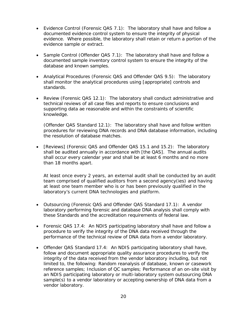- Evidence Control (Forensic QAS 7.1): The laboratory shall have and follow a evidence. Where possible, the laboratory shall retain or return a portion of the documented evidence control system to ensure the integrity of physical evidence sample or extract.
- Sample Control (Offender QAS 7.1): The laboratory shall have and follow a database and known samples. documented sample inventory control system to ensure the integrity of the
- Analytical Procedures (Forensic QAS and Offender QAS 9.5): The laboratory standards. shall monitor the analytical procedures using [appropriate] controls and
- Review (Forensic QAS 12.1): The laboratory shall conduct administrative and technical reviews of all case files and reports to ensure conclusions and knowledge. supporting data ae reasonable and within the constraints of scientific

knowledge.<br>(Offender QAS Standard 12.1): The laboratory shall have and follow written the resolution of database matches. procedures for reviewing DNA records and DNA database information, including

• [Reviews] (Forensic QAS and Offender QAS 15.1 and 15.2): The laboratory than 18 months apart. shall be audited annually in accordance with [the QAS]. The annual audits shall occur every calendar year and shall be at least 6 months and no more

 laboratory's current DNA technologies and platform. At least once every 2 years, an external audit shall be conducted by an audit team comprised of qualified auditors from a second agency(ies) and having at least one team member who is or has been previously qualified in the

- Outsourcing (Forensic QAS and Offender QAS Standard 17.1): A vendor these Standards and the accreditation requirements of federal law. laboratory performing forensic and database DNA analysis shall comply with
- Forensic QAS 17.4: An NDIS participating laboratory shall have and follow a procedure to verify the integrity of the DNA data received through the performance of the technical review of DNA data from a vendor laboratory.
- Offender QAS Standard 17.4: An NDIS participating laboratory shall have, follow and document appropriate quality assurance procedures to verify the limited to, the following: Random reanalysis of database, known or casework sample(s) to a vendor laboratory or accepting ownership of DNA data from a vendor laboratory.<br>20 integrity of the data received from the vendor laboratory including, but not reference samples; Inclusion of QC samples; Performance of an on-site visit by an NDIS participating laboratory or multi-laboratory system outsourcing DNA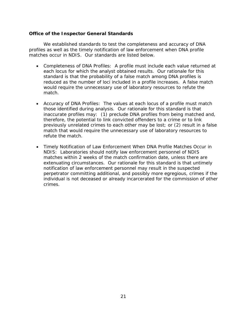#### <span id="page-24-0"></span>**Office of the Inspector General Standards**

 matches occur in NDIS. Our standards are listed below. We established standards to test the completeness and accuracy of DNA profiles as well as the timely notification of law enforcement when DNA profile

- each locus for which the analyst obtained results. Our rationale for this standard is that the probability of a false match among DNA profiles is • Completeness of DNA Profiles: A profile must include each value returned at reduced as the number of loci included in a profile increases. A false match would require the unnecessary use of laboratory resources to refute the match.
- those identified during analysis. Our rationale for this standard is that therefore, the potential to link convicted offenders to a crime or to link previously unrelated crimes to each other may be lost; or (2) result in a false refute the match. • Accuracy of DNA Profiles: The values at each locus of a profile must match inaccurate profiles may: (1) preclude DNA profiles from being matched and, match that would require the unnecessary use of laboratory resources to
- NDIS: Laboratories should notify law enforcement personnel of NDIS perpetrator committing additional, and possibly more egregious, crimes if the • Timely Notification of Law Enforcement When DNA Profile Matches Occur in matches within 2 weeks of the match confirmation date, unless there are extenuating circumstances. Our rationale for this standard is that untimely notification of law enforcement personnel may result in the suspected individual is not deceased or already incarcerated for the commission of other crimes.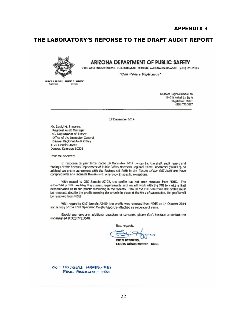## **THE LABORATORY'S REPONSE TO THE DRAFT AUDIT REPORT**



## **ARIZONA DEPARTMENT OF PUBLIC SAFETY**

**2102 volE!:I ENCAMO ill \10. P.O. SOX 6038 flHD£1'IX, AAllCNA 8501J6..M38 (602)223-2-000** 

"Courteous Vigilance"

**Mance K. BREWER PORERT C. KAULDAY**<br>- Governo

Northern Ragional Crima Lab-1140 W Keibab Ln Ste A Flagstafi AZ B6001 (928) 773-36B7

17 December 2014

Mr. David M. Sheeren, Regional Audit Manager U.S. Department of Justice Office of the Inspector General Denver Regional Audit Office 1120 Lincoln Street 1120 Lincoln Street<br>Denver, Colorado B0203

Dear Mr. Sheeren:

In response to your letter dated 16 December 2014 concerning the draft audit report and findings at the Arizona Department of Public Safety Northern Regional Orime Laboratory ("NRCL"), be advised we are in agreement with the findings set forth in the *Results of the QIG Awdit* and have complied with any requests therein with only two (2) specific exceptions.

With regard to OIG Sample AZ-02, the profile has not been removed from NDIS. The ~ubm ttJ!!j **profilf!** pr~tei **ttl!: t;L.lrrent reqL,jremmts 800 we** II <sup>I</sup>**wotte. With the fBI to l'l\ilke a final**  determination as to the profile remaining in the system. Should the FBI determine the profile must  $b$  **be removed.** despite the profile meeting the criteria in place at the time of submission. The profile will be removed from NDIS.

With regard to OIG Semple AZ-59, the profile was removed from NDIS on 14 October 2014 and a copy of the LDIS Specimen Delete Report is attached as evidence of same.

Should you have any additional questions or concerns, please don't hesitate to contact the undersigned at 928.773.3648.

Best regards,

Best regards,<br>ERIN HISGINS,

**CONFIDENTIA**<br> **ERIN HISGINS,**<br>
CODIS Administrator - NRCL

OC : DOUGLAS HAMES, FBI PAUL PAGANO, - FBI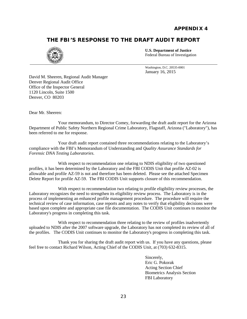# <span id="page-26-0"></span>**THE FBI'S RESPONSE TO THE DRAFT AUDIT REPORT**



**U.S. Department of Justice**  Federal Bureau of Investigation

Washington, D.C. 20535-0001 January 16, 2015

 1120 Lincoln, Suite 1500 David M. Sheeren, Regional Audit Manager Denver Regional Audit Office Office of the Inspector General Denver, CO 80203

Dear Mr. Sheeren:

 Your memorandum, to Director Comey, forwarding the draft audit report for the Arizona Department of Public Safety Northern Regional Crime Laboratory, Flagstaff, Arizona ("Laboratory"), has been referred to me for response.

 compliance with the FBI's Memorandum of Understanding and *Quality Assurance Standards for*  Your draft audit report contained three recommendations relating to the Laboratory's *Forensic DNA Testing Laboratories*.

 allowable and profile AZ-59 is not and therefore has been deleted. Please see the attached Specimen Delete Report for profile AZ-59. The FBI CODIS Unit supports closure of this recommendation. With respect to recommendation one relating to NDIS eligibility of two questioned profiles, it has been determined by the Laboratory and the FBI CODIS Unit that profile AZ-02 is

 Laboratory recognizes the need to strengthen its eligibility review process. The Laboratory is in the based upon complete and appropriate case file documentation. The CODIS Unit continues to monitor the Laboratory's progress in completing this task. With respect to recommendation two relating to profile eligibility review processes, the process of implementing an enhanced profile management procedure. The procedure will require the technical review of case information, case reports and any notes to verify that eligibility decisions were

Laboratory's progress in completing this task.<br>With respect to recommendation three relating to the review of profiles inadvertently uploaded to NDIS after the 2007 software upgrade, the Laboratory has not completed its review of all of the profiles. The CODIS Unit continues to monitor the Laboratory's progress in completing this task.

Thank you for sharing the draft audit report with us. If you have any questions, please feel free to contact Richard Wilson, Acting Chief of the CODIS Unit, at (703) 632-8315.

> Sincerely, Eric G. Pokorak Acting Section Chief Biometrics Analysis Section FBI Laboratory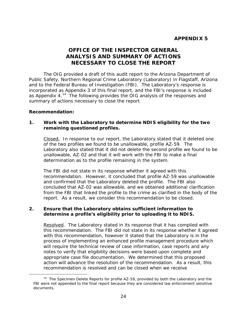## **APPENDIX 5**

# **OFFICE OF THE INSPECTOR GENERAL ANALYSIS AND SUMMARY OF ACTIONS NECESSARY TO CLOSE THE REPORT**

<span id="page-27-0"></span> incorporated as Appendix 3 of this final report, and the FBI's response is included as Appendix 4.<sup>14</sup> The following provides the OIG analysis of the responses and The OIG provided a draft of this audit report to the Arizona Department of Public Safety, Northern Regional Crime Laboratory (Laboratory) in Flagstaff, Arizona and to the Federal Bureau of Investigation (FBI). The Laboratory's response is summary of actions necessary to close the report.

#### **Recommendation:**

<span id="page-27-1"></span> $\overline{a}$ 

### **remaining questioned profiles. Recommendation: 1. Work with the Laboratory to determine NDIS eligibility for the two**

Closed. In response to our report, the Laboratory stated that it deleted one determination as to the profile remaining in the system. of the two profiles we found to be unallowable, profile AZ-59. The Laboratory also stated that it did not delete the second profile we found to be unallowable, AZ-02 and that it will work with the FBI to make a final

 recommendation. However, it concluded that profile AZ-59 was unallowable The FBI did not state in its response whether it agreed with this and confirmed that the Laboratory deleted the profile. The FBI also concluded that AZ-02 was allowable, and we obtained additional clarification from the FBI that linked the profile to the crime as clarified in the body of the report. As a result, we consider this recommendation to be closed.

## **determine a profile's eligibility prior to uploading it to NDIS. 2. Ensure that the Laboratory obtains sufficient information to**

Resolved. The Laboratory stated in its response that it has complied with with this recommendation, however it stated that the Laboratory is in the appropriate case file documentation. We determined that this proposed action will advance the resolution of the recommendation. As a result, this this recommendation. The FBI did not state in its response whether it agreed process of implementing an enhanced profile management procedure which will require the technical review of case information, case reports and any notes to verify that eligibility decisions were based upon complete and recommendation is resolved and can be closed when we receive

documents. <sup>14</sup> The Specimen Delete Reports for profile AZ-59, provided by both the Laboratory and the FBI were not appended to the final report because they are considered law enforcement sensitive documents. 24